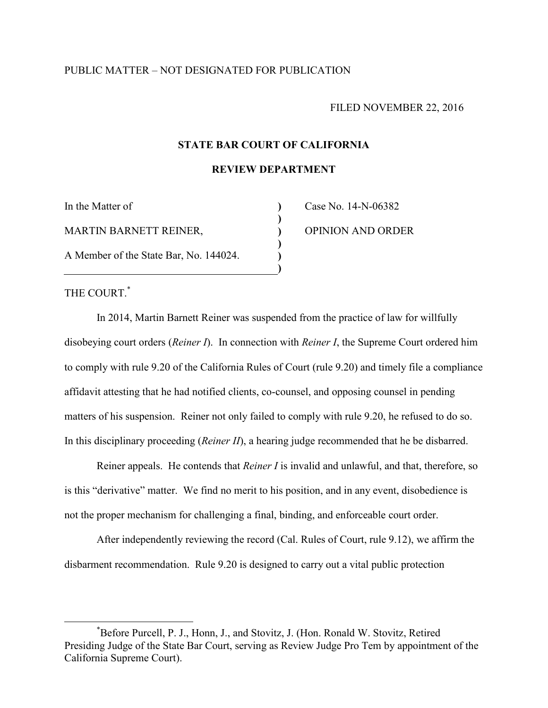# PUBLIC MATTER – NOT DESIGNATED FOR PUBLICATION

#### FILED NOVEMBER 22, 2016

## **STATE BAR COURT OF CALIFORNIA**

**REVIEW DEPARTMENT**

**) ) ) ) ) )**

In the Matter of MARTIN BARNETT REINER, A Member of the State Bar, No. 144024. Case No. 14-N-06382 OPINION AND ORDER

THE COURT. [\\*](#page-0-0)

<span id="page-0-0"></span> $\overline{a}$ 

In 2014, Martin Barnett Reiner was suspended from the practice of law for willfully disobeying court orders (*Reiner I*). In connection with *Reiner I*, the Supreme Court ordered him to comply with rule 9.20 of the California Rules of Court (rule 9.20) and timely file a compliance affidavit attesting that he had notified clients, co-counsel, and opposing counsel in pending matters of his suspension. Reiner not only failed to comply with rule 9.20, he refused to do so. In this disciplinary proceeding (*Reiner II*), a hearing judge recommended that he be disbarred.

Reiner appeals. He contends that *Reiner I* is invalid and unlawful, and that, therefore, so is this "derivative" matter. We find no merit to his position, and in any event, disobedience is not the proper mechanism for challenging a final, binding, and enforceable court order.

After independently reviewing the record (Cal. Rules of Court, rule 9.12), we affirm the disbarment recommendation. Rule 9.20 is designed to carry out a vital public protection

<sup>\*</sup>Before Purcell, P. J., Honn, J., and Stovitz, J. (Hon. Ronald W. Stovitz, Retired Presiding Judge of the State Bar Court, serving as Review Judge Pro Tem by appointment of the California Supreme Court).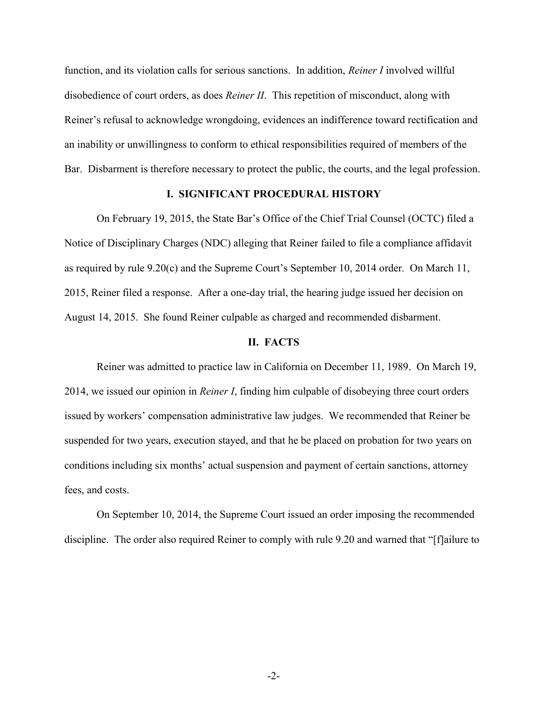function, and its violation calls for serious sanctions. In addition, *Reiner I* involved willful disobedience of court orders, as does *Reiner II*. This repetition of misconduct, along with Reiner's refusal to acknowledge wrongdoing, evidences an indifference toward rectification and an inability or unwillingness to conform to ethical responsibilities required of members of the Bar. Disbarment is therefore necessary to protect the public, the courts, and the legal profession.

## **I. SIGNIFICANT PROCEDURAL HISTORY**

On February 19, 2015, the State Bar's Office of the Chief Trial Counsel (OCTC) filed a Notice of Disciplinary Charges (NDC) alleging that Reiner failed to file a compliance affidavit as required by rule 9.20(c) and the Supreme Court's September 10, 2014 order. On March 11, 2015, Reiner filed a response. After a one-day trial, the hearing judge issued her decision on August 14, 2015. She found Reiner culpable as charged and recommended disbarment.

#### **II. FACTS**

Reiner was admitted to practice law in California on December 11, 1989. On March 19, 2014, we issued our opinion in *Reiner I*, finding him culpable of disobeying three court orders issued by workers' compensation administrative law judges. We recommended that Reiner be suspended for two years, execution stayed, and that he be placed on probation for two years on conditions including six months' actual suspension and payment of certain sanctions, attorney fees, and costs.

On September 10, 2014, the Supreme Court issued an order imposing the recommended discipline. The order also required Reiner to comply with rule 9.20 and warned that "[f]ailure to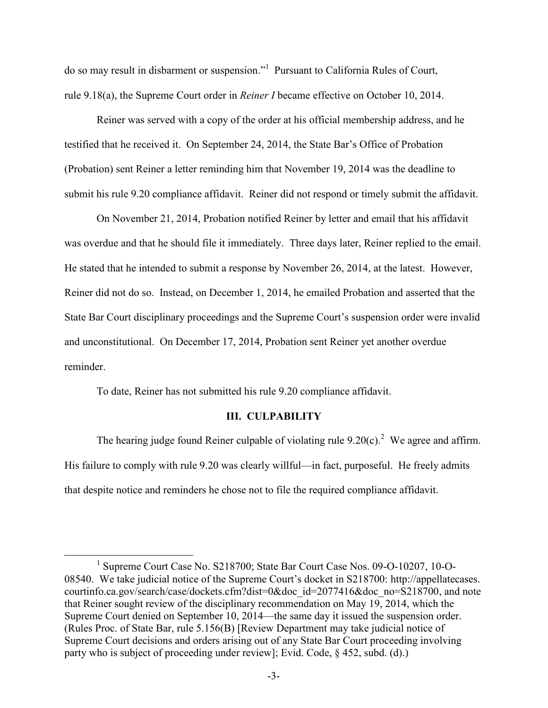do so may result in disbarment or suspension."<sup>[1](#page-2-0)</sup> Pursuant to California Rules of Court, rule 9.18(a), the Supreme Court order in *Reiner I* became effective on October 10, 2014.

Reiner was served with a copy of the order at his official membership address, and he testified that he received it. On September 24, 2014, the State Bar's Office of Probation (Probation) sent Reiner a letter reminding him that November 19, 2014 was the deadline to submit his rule 9.20 compliance affidavit. Reiner did not respond or timely submit the affidavit.

On November 21, 2014, Probation notified Reiner by letter and email that his affidavit was overdue and that he should file it immediately. Three days later, Reiner replied to the email. He stated that he intended to submit a response by November 26, 2014, at the latest. However, Reiner did not do so. Instead, on December 1, 2014, he emailed Probation and asserted that the State Bar Court disciplinary proceedings and the Supreme Court's suspension order were invalid and unconstitutional. On December 17, 2014, Probation sent Reiner yet another overdue reminder.

To date, Reiner has not submitted his rule 9.20 compliance affidavit.

<span id="page-2-0"></span> $\overline{a}$ 

#### **III. CULPABILITY**

The hearing judge found Reiner culpable of violating rule  $9.20(c)$  $9.20(c)$  $9.20(c)$ .<sup>2</sup> We agree and affirm. His failure to comply with rule 9.20 was clearly willful—in fact, purposeful. He freely admits that despite notice and reminders he chose not to file the required compliance affidavit.

<sup>1</sup> Supreme Court Case No. S218700; State Bar Court Case Nos. 09-O-10207, 10-O-08540. We take judicial notice of the Supreme Court's docket in S218700: http://appellatecases. courtinfo.ca.gov/search/case/dockets.cfm?dist=0&doc\_id=2077416&doc\_no=S218700, and note that Reiner sought review of the disciplinary recommendation on May 19, 2014, which the Supreme Court denied on September 10, 2014—the same day it issued the suspension order. (Rules Proc. of State Bar, rule 5.156(B) [Review Department may take judicial notice of Supreme Court decisions and orders arising out of any State Bar Court proceeding involving party who is subject of proceeding under review]; Evid. Code, § 452, subd. (d).)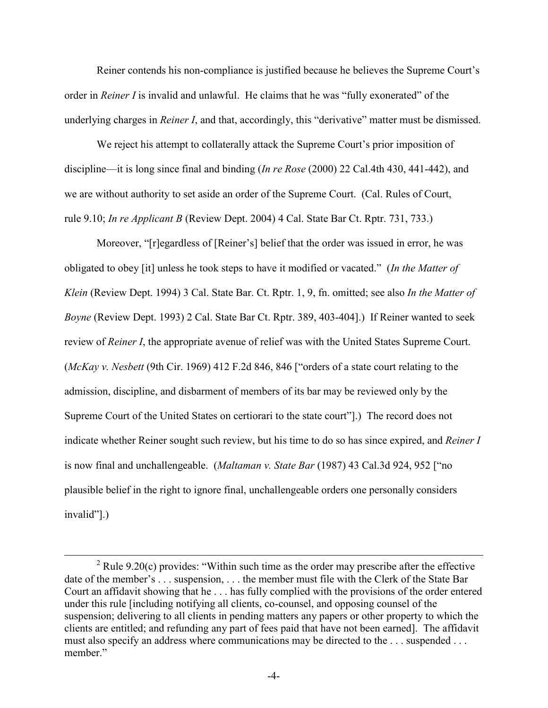Reiner contends his non-compliance is justified because he believes the Supreme Court's order in *Reiner I* is invalid and unlawful. He claims that he was "fully exonerated" of the underlying charges in *Reiner I*, and that, accordingly, this "derivative" matter must be dismissed.

We reject his attempt to collaterally attack the Supreme Court's prior imposition of discipline—it is long since final and binding (*In re Rose* (2000) 22 Cal.4th 430, 441-442), and we are without authority to set aside an order of the Supreme Court. (Cal. Rules of Court, rule 9.10; *In re Applicant B* (Review Dept. 2004) 4 Cal. State Bar Ct. Rptr. 731, 733.)

Moreover, "[r]egardless of [Reiner's] belief that the order was issued in error, he was obligated to obey [it] unless he took steps to have it modified or vacated." (*In the Matter of Klein* (Review Dept. 1994) 3 Cal. State Bar. Ct. Rptr. 1, 9, fn. omitted; see also *In the Matter of Boyne* (Review Dept. 1993) 2 Cal. State Bar Ct. Rptr. 389, 403-404].) If Reiner wanted to seek review of *Reiner I*, the appropriate avenue of relief was with the United States Supreme Court. (*McKay v. Nesbett* (9th Cir. 1969) 412 F.2d 846, 846 ["orders of a state court relating to the admission, discipline, and disbarment of members of its bar may be reviewed only by the Supreme Court of the United States on certiorari to the state court"].) The record does not indicate whether Reiner sought such review, but his time to do so has since expired, and *Reiner I* is now final and unchallengeable. (*Maltaman v. State Bar* (1987) 43 Cal.3d 924, 952 ["no plausible belief in the right to ignore final, unchallengeable orders one personally considers invalid"].)

 $\overline{a}$ 

<sup>&</sup>lt;sup>2</sup> Rule 9.20(c) provides: "Within such time as the order may prescribe after the effective date of the member's . . . suspension, . . . the member must file with the Clerk of the State Bar Court an affidavit showing that he . . . has fully complied with the provisions of the order entered under this rule [including notifying all clients, co-counsel, and opposing counsel of the suspension; delivering to all clients in pending matters any papers or other property to which the clients are entitled; and refunding any part of fees paid that have not been earned]. The affidavit must also specify an address where communications may be directed to the ... suspended ... member."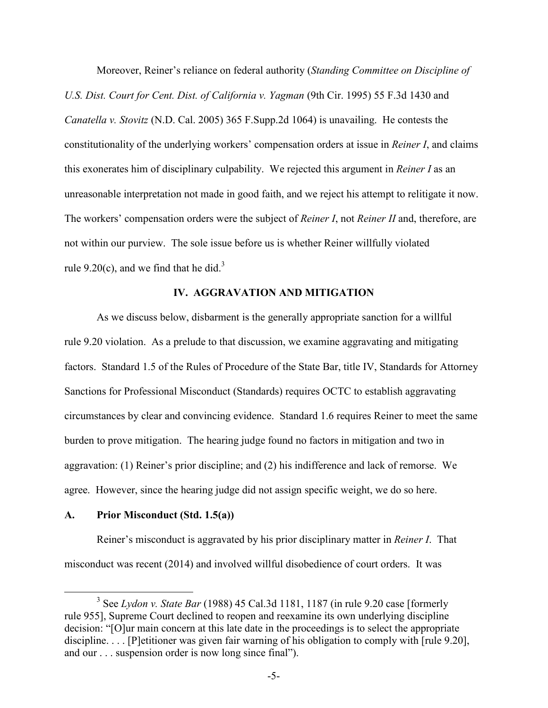Moreover, Reiner's reliance on federal authority (*Standing Committee on Discipline of U.S. Dist. Court for Cent. Dist. of California v. Yagman* (9th Cir. 1995) 55 F.3d 1430 and *Canatella v. Stovitz* (N.D. Cal. 2005) 365 F.Supp.2d 1064) is unavailing. He contests the constitutionality of the underlying workers' compensation orders at issue in *Reiner I*, and claims this exonerates him of disciplinary culpability. We rejected this argument in *Reiner I* as an unreasonable interpretation not made in good faith, and we reject his attempt to relitigate it now. The workers' compensation orders were the subject of *Reiner I*, not *Reiner II* and, therefore, are not within our purview. The sole issue before us is whether Reiner willfully violated rule9.20(c), and we find that he did.<sup>3</sup>

# **IV. AGGRAVATION AND MITIGATION**

As we discuss below, disbarment is the generally appropriate sanction for a willful rule 9.20 violation. As a prelude to that discussion, we examine aggravating and mitigating factors. Standard 1.5 of the Rules of Procedure of the State Bar, title IV, Standards for Attorney Sanctions for Professional Misconduct (Standards) requires OCTC to establish aggravating circumstances by clear and convincing evidence. Standard 1.6 requires Reiner to meet the same burden to prove mitigation. The hearing judge found no factors in mitigation and two in aggravation: (1) Reiner's prior discipline; and (2) his indifference and lack of remorse. We agree. However, since the hearing judge did not assign specific weight, we do so here.

### **A. Prior Misconduct (Std. 1.5(a))**

 $\overline{a}$ 

Reiner's misconduct is aggravated by his prior disciplinary matter in *Reiner I*. That misconduct was recent (2014) and involved willful disobedience of court orders. It was

<span id="page-4-0"></span><sup>3</sup> See *Lydon v. State Bar* (1988) 45 Cal.3d 1181, 1187 (in rule 9.20 case [formerly rule 955], Supreme Court declined to reopen and reexamine its own underlying discipline decision: "[O]ur main concern at this late date in the proceedings is to select the appropriate discipline. . . . [P]etitioner was given fair warning of his obligation to comply with [rule 9.20], and our . . . suspension order is now long since final").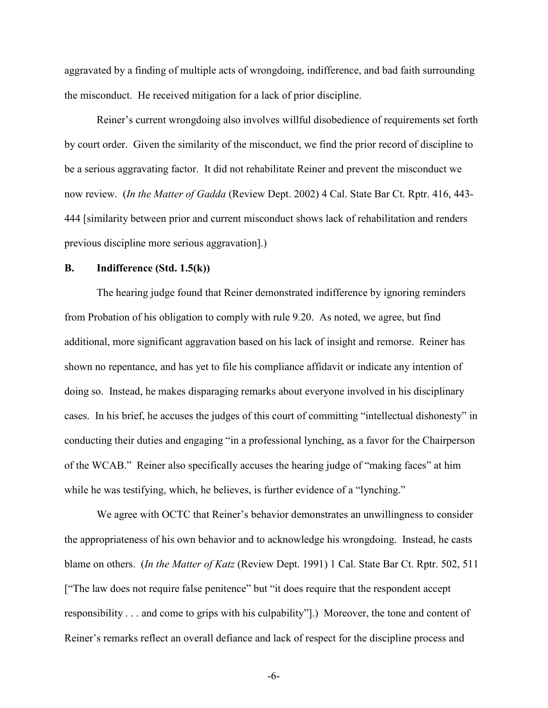aggravated by a finding of multiple acts of wrongdoing, indifference, and bad faith surrounding the misconduct. He received mitigation for a lack of prior discipline.

Reiner's current wrongdoing also involves willful disobedience of requirements set forth by court order. Given the similarity of the misconduct, we find the prior record of discipline to be a serious aggravating factor. It did not rehabilitate Reiner and prevent the misconduct we now review. (*In the Matter of Gadda* (Review Dept. 2002) 4 Cal. State Bar Ct. Rptr. 416, 443- 444 [similarity between prior and current misconduct shows lack of rehabilitation and renders previous discipline more serious aggravation].)

### **B. Indifference (Std. 1.5(k))**

The hearing judge found that Reiner demonstrated indifference by ignoring reminders from Probation of his obligation to comply with rule 9.20. As noted, we agree, but find additional, more significant aggravation based on his lack of insight and remorse. Reiner has shown no repentance, and has yet to file his compliance affidavit or indicate any intention of doing so. Instead, he makes disparaging remarks about everyone involved in his disciplinary cases. In his brief, he accuses the judges of this court of committing "intellectual dishonesty" in conducting their duties and engaging "in a professional lynching, as a favor for the Chairperson of the WCAB." Reiner also specifically accuses the hearing judge of "making faces" at him while he was testifying, which, he believes, is further evidence of a "lynching."

We agree with OCTC that Reiner's behavior demonstrates an unwillingness to consider the appropriateness of his own behavior and to acknowledge his wrongdoing. Instead, he casts blame on others. (*In the Matter of Katz* (Review Dept. 1991) 1 Cal. State Bar Ct. Rptr. 502, 511 ["The law does not require false penitence" but "it does require that the respondent accept responsibility . . . and come to grips with his culpability"].) Moreover, the tone and content of Reiner's remarks reflect an overall defiance and lack of respect for the discipline process and

-6-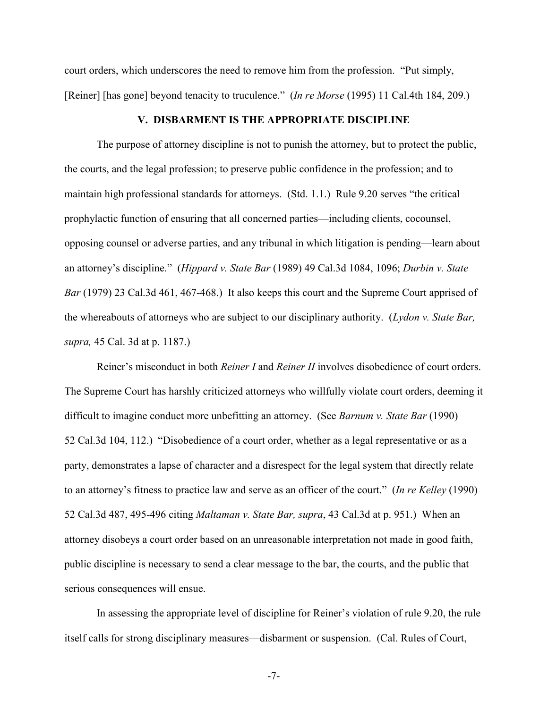court orders, which underscores the need to remove him from the profession. "Put simply, [Reiner] [has gone] beyond tenacity to truculence." (*In re Morse* (1995) 11 Cal.4th 184, 209.)

## **V. DISBARMENT IS THE APPROPRIATE DISCIPLINE**

The purpose of attorney discipline is not to punish the attorney, but to protect the public, the courts, and the legal profession; to preserve public confidence in the profession; and to maintain high professional standards for attorneys. (Std. 1.1.) Rule 9.20 serves "the critical prophylactic function of ensuring that all concerned parties—including clients, cocounsel, opposing counsel or adverse parties, and any tribunal in which litigation is pending—learn about an attorney's discipline." (*Hippard v. State Bar* (1989) 49 Cal.3d 1084, 1096; *Durbin v. State Bar* (1979) 23 Cal.3d 461, 467-468.) It also keeps this court and the Supreme Court apprised of the whereabouts of attorneys who are subject to our disciplinary authority. (*Lydon v. State Bar, supra,* 45 Cal. 3d at p. 1187.)

Reiner's misconduct in both *Reiner I* and *Reiner II* involves disobedience of court orders. The Supreme Court has harshly criticized attorneys who willfully violate court orders, deeming it difficult to imagine conduct more unbefitting an attorney. (See *Barnum v. State Bar* (1990) 52 Cal.3d 104, 112.) "Disobedience of a court order, whether as a legal representative or as a party, demonstrates a lapse of character and a disrespect for the legal system that directly relate to an attorney's fitness to practice law and serve as an officer of the court." (*In re Kelley* (1990) 52 Cal.3d 487, 495-496 citing *Maltaman v. State Bar, supra*, 43 Cal.3d at p. 951.) When an attorney disobeys a court order based on an unreasonable interpretation not made in good faith, public discipline is necessary to send a clear message to the bar, the courts, and the public that serious consequences will ensue.

In assessing the appropriate level of discipline for Reiner's violation of rule 9.20, the rule itself calls for strong disciplinary measures—disbarment or suspension. (Cal. Rules of Court,

-7-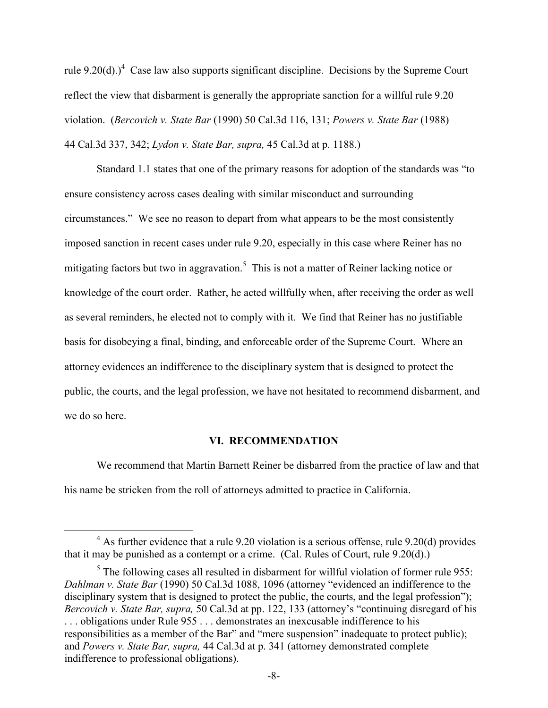rule 9.20(d).)<sup>[4](#page-7-0)</sup> Case law also supports significant discipline. Decisions by the Supreme Court reflect the view that disbarment is generally the appropriate sanction for a willful rule 9.20 violation. (*Bercovich v. State Bar* (1990) 50 Cal.3d 116, 131; *Powers v. State Bar* (1988) 44 Cal.3d 337, 342; *Lydon v. State Bar, supra,* 45 Cal.3d at p. 1188.)

Standard 1.1 states that one of the primary reasons for adoption of the standards was "to ensure consistency across cases dealing with similar misconduct and surrounding circumstances." We see no reason to depart from what appears to be the most consistently imposed sanction in recent cases under rule 9.20, especially in this case where Reiner has no mitigatingfactors but two in aggravation.<sup>5</sup> This is not a matter of Reiner lacking notice or knowledge of the court order. Rather, he acted willfully when, after receiving the order as well as several reminders, he elected not to comply with it. We find that Reiner has no justifiable basis for disobeying a final, binding, and enforceable order of the Supreme Court. Where an attorney evidences an indifference to the disciplinary system that is designed to protect the public, the courts, and the legal profession, we have not hesitated to recommend disbarment, and we do so here.

### **VI. RECOMMENDATION**

We recommend that Martin Barnett Reiner be disbarred from the practice of law and that his name be stricken from the roll of attorneys admitted to practice in California.

<span id="page-7-0"></span> $\overline{a}$ 

 $4$  As further evidence that a rule 9.20 violation is a serious offense, rule 9.20(d) provides that it may be punished as a contempt or a crime. (Cal. Rules of Court, rule 9.20(d).)

<span id="page-7-1"></span> $<sup>5</sup>$  The following cases all resulted in disbarment for willful violation of former rule 955:</sup> *Dahlman v. State Bar* (1990) 50 Cal.3d 1088, 1096 (attorney "evidenced an indifference to the disciplinary system that is designed to protect the public, the courts, and the legal profession"); *Bercovich v. State Bar, supra,* 50 Cal.3d at pp. 122, 133 (attorney's "continuing disregard of his . . . obligations under Rule 955 . . . demonstrates an inexcusable indifference to his responsibilities as a member of the Bar" and "mere suspension" inadequate to protect public); and *Powers v. State Bar, supra,* 44 Cal.3d at p. 341 (attorney demonstrated complete indifference to professional obligations).